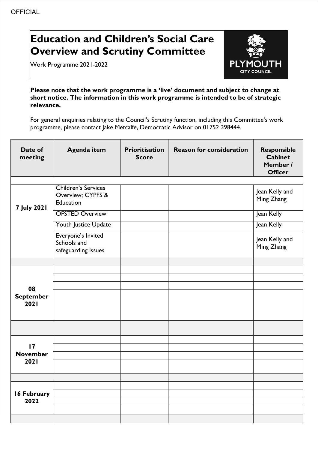## **Education and Children's Social Care Overview and Scrutiny Committee**

Work Programme 2021-2022



**Please note that the work programme is a 'live' document and subject to change at short notice. The information in this work programme is intended to be of strategic relevance.**

For general enquiries relating to the Council's Scrutiny function, including this Committee's work programme, please contact Jake Metcalfe, Democratic Advisor on 01752 398444.

| Date of<br>meeting             | <b>Agenda item</b>                                           | Prioritisation<br><b>Score</b> | <b>Reason for consideration</b> | <b>Responsible</b><br><b>Cabinet</b><br>Member /<br><b>Officer</b> |
|--------------------------------|--------------------------------------------------------------|--------------------------------|---------------------------------|--------------------------------------------------------------------|
|                                |                                                              |                                |                                 |                                                                    |
| <b>7 July 2021</b>             | <b>Children's Services</b><br>Overview; CYPFS &<br>Education |                                |                                 | Jean Kelly and<br>Ming Zhang                                       |
|                                | <b>OFSTED Overview</b>                                       |                                |                                 | Jean Kelly                                                         |
|                                | Youth Justice Update                                         |                                |                                 | Jean Kelly                                                         |
|                                | Everyone's Invited<br>Schools and<br>safeguarding issues     |                                |                                 | Jean Kelly and<br>Ming Zhang                                       |
|                                |                                                              |                                |                                 |                                                                    |
|                                |                                                              |                                |                                 |                                                                    |
| 08<br><b>September</b><br>2021 |                                                              |                                |                                 |                                                                    |
|                                |                                                              |                                |                                 |                                                                    |
| $\overline{17}$                |                                                              |                                |                                 |                                                                    |
| <b>November</b>                |                                                              |                                |                                 |                                                                    |
| 2021                           |                                                              |                                |                                 |                                                                    |
|                                |                                                              |                                |                                 |                                                                    |
|                                |                                                              |                                |                                 |                                                                    |
| 16 February<br>2022            |                                                              |                                |                                 |                                                                    |
|                                |                                                              |                                |                                 |                                                                    |
|                                |                                                              |                                |                                 |                                                                    |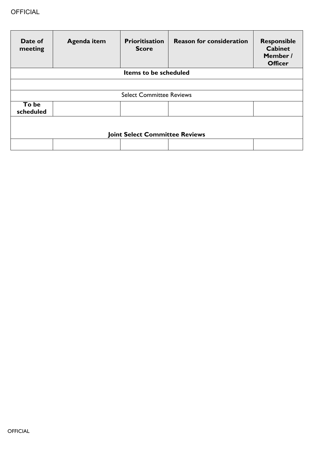| Date of<br>meeting                    | <b>Agenda item</b> | <b>Prioritisation</b><br><b>Score</b> | <b>Reason for consideration</b> | <b>Responsible</b><br><b>Cabinet</b><br>Member /<br><b>Officer</b> |  |  |
|---------------------------------------|--------------------|---------------------------------------|---------------------------------|--------------------------------------------------------------------|--|--|
| Items to be scheduled                 |                    |                                       |                                 |                                                                    |  |  |
|                                       |                    |                                       |                                 |                                                                    |  |  |
| <b>Select Committee Reviews</b>       |                    |                                       |                                 |                                                                    |  |  |
| To be<br>scheduled                    |                    |                                       |                                 |                                                                    |  |  |
| <b>Joint Select Committee Reviews</b> |                    |                                       |                                 |                                                                    |  |  |
|                                       |                    |                                       |                                 |                                                                    |  |  |